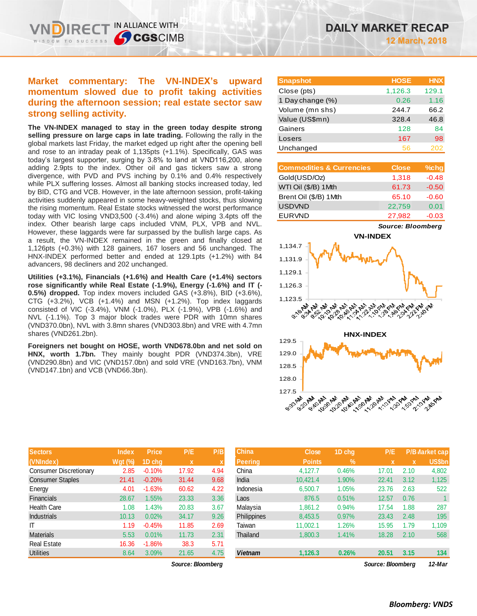# **Market commentary: The VN-INDEX's upward momentum slowed due to profit taking activities during the afternoon session; real estate sector saw strong selling activity.**

IN ALLIANCE WITH

**CGSCIMB** 

**The VN-INDEX managed to stay in the green today despite strong selling pressure on large caps in late trading.** Following the rally in the global markets last Friday, the market edged up right after the opening bell and rose to an intraday peak of 1,135pts (+1.1%). Specifically, GAS was today's largest supporter, surging by 3.8% to land at VND116,200, alone adding 2.9pts to the index. Other oil and gas tickers saw a strong divergence, with PVD and PVS inching by 0.1% and 0.4% respectively while PLX suffering losses. Almost all banking stocks increased today, led by BID, CTG and VCB. However, in the late afternoon session, profit-taking activities suddenly appeared in some heavy-weighted stocks, thus slowing the rising momentum. Real Estate stocks witnessed the worst performance today with VIC losing VND3,500 (-3.4%) and alone wiping 3.4pts off the index. Other bearish large caps included VNM, PLX, VPB and NVL. However, these laggards were far surpassed by the bullish large caps. As a result, the VN-INDEX remained in the green and finally closed at 1,126pts (+0.3%) with 128 gainers, 167 losers and 56 unchanged. The HNX-INDEX performed better and ended at 129.1pts (+1.2%) with 84 advancers, 98 decliners and 202 unchanged.

**Utilities (+3.1%), Financials (+1.6%) and Health Care (+1.4%) sectors rose significantly while Real Estate (-1.9%), Energy (-1.6%) and IT (- 0.5%) dropped.** Top index movers included GAS (+3.8%), BID (+3.6%), CTG (+3.2%), VCB (+1.4%) and MSN (+1.2%). Top index laggards consisted of VIC (-3.4%), VNM (-1.0%), PLX (-1.9%), VPB (-1.6%) and NVL (-1.1%). Top 3 major block trades were PDR with 10mn shares (VND370.0bn), NVL with 3.8mn shares (VND303.8bn) and VRE with 4.7mn shares (VND261.2bn).

**Foreigners net bought on HOSE, worth VND678.0bn and net sold on HNX, worth 1.7bn.** They mainly bought PDR (VND374.3bn), VRE (VND290.8bn) and VIC (VND157.0bn) and sold VRE (VND163.7bn), VNM (VND147.1bn) and VCB (VND66.3bn).

| <b>Snapshot</b>  | <b>HOSE</b> | <b>HNX</b> |
|------------------|-------------|------------|
| Close (pts)      | 1,126.3     | 129.1      |
| 1 Day change (%) | 0.26        | 1.16       |
| Volume (mn shs)  | 244.7       | 66.2       |
| Value (US\$mn)   | 328.4       | 46.8       |
| Gainers          | 128         | 84         |
| Losers           | 167         | 98         |
| Unchanged        | 56          | 202        |

| <b>Commodities &amp; Currencies</b> | <b>Close</b> | $%$ chg |
|-------------------------------------|--------------|---------|
| Gold(USD/Oz)                        | 1,318        | $-0.48$ |
| WTI Oil (\$/B) 1Mth                 | 61.73        | $-0.50$ |
| Brent Oil (\$/B) 1Mth               | 65.10        | $-0.60$ |
| <b>USDVND</b>                       | 22,759       | 0.01    |
| <b>EURVND</b>                       | 27,982       | $-0.03$ |

*Source: Bloomberg*





|         |              |              | P/B         |
|---------|--------------|--------------|-------------|
| Wgt (%) | 1D chq       | $\mathbf x$  | $\mathbf x$ |
| 2.85    | $-0.10%$     | 17.92        | 4.94        |
| 21.41   | $-0.20%$     | 31.44        | 9.68        |
| 4.01    | $-1.63%$     | 60.62        | 4.22        |
| 28.67   | 1.55%        | 23.33        | 3.36        |
| 1.08    | 1.43%        | 20.83        | 3.67        |
| 10.13   | 0.02%        | 34.17        | 9.26        |
| 1.19    | $-0.45%$     | 11.85        | 2.69        |
| 5.53    | 0.01%        | 11.73        | 2.31        |
| 16.36   | $-1.86%$     | 38.3         | 5.71        |
| 8.64    | 3.09%        | 21.65        | 4.75        |
|         | <b>Index</b> | <b>Price</b> | P/E         |

| <b>Sectors</b>         | <b>Index</b> | <b>Price</b> | P/E               | P/B         | <b>China</b>       | <b>Close</b>  | 1D cha        | P/E               |             | <b>P/B Market cap</b> |
|------------------------|--------------|--------------|-------------------|-------------|--------------------|---------------|---------------|-------------------|-------------|-----------------------|
| (VNIndex)              | Wgt (%)      | 1D chq       | $\mathbf x$       | $\mathbf x$ | Peering            | <b>Points</b> | $\frac{0}{0}$ | $\mathbf x$       | $\mathbf x$ | <b>US\$bn</b>         |
| Consumer Discretionary | 2.85         | $-0.10%$     | 17.92             | 4.94        | China              | 4.127.7       | 0.46%         | 17.01             | 2.10        | 4,802                 |
| Consumer Staples       | 21.41        | $-0.20%$     | 31.44             | 9.68        | India              | 10,421.4      | 1.90%         | 22.41             | 3.12        | 1,125                 |
| Energy                 | 4.01         | $-1.63%$     | 60.62             | 4.22        | Indonesia          | 6,500.7       | 1.05%         | 23.76             | 2.63        | 522                   |
| Financials             | 28.67        | 1.55%        | 23.33             | 3.36        | Laos               | 876.5         | 0.51%         | 12.57             | 0.76        |                       |
| Health Care            | 1.08         | 1.43%        | 20.83             | 3.67        | Malaysia           | 1.861.2       | 0.94%         | 17.54             | 1.88        | 287                   |
| Industrials            | 10.13        | 0.02%        | 34.17             | 9.26        | <b>Philippines</b> | 8,453.5       | 0.97%         | 23.43             | 2.48        | 195                   |
|                        | 1.19         | $-0.45%$     | 11.85             | 2.69        | Taiwan             | 11,002.1      | 1.26%         | 15.95             | 1.79        | 1,109                 |
| Materials              | 5.53         | 0.01%        | 11.73             | 2.31        | Thailand           | 1,800.3       | 1.41%         | 18.28             | 2.10        | 568                   |
| Real Estate            | 16.36        | $-1.86\%$    | 38.3              | 5.71        |                    |               |               |                   |             |                       |
| Utilities              | 8.64         | 3.09%        | 21.65             | 4.75        | <b>Vietnam</b>     | 1,126.3       | 0.26%         | 20.51             | 3.15        | 134                   |
|                        |              |              | Source: Bloombera |             |                    |               |               | Source: Bloombera |             | 12-Mar                |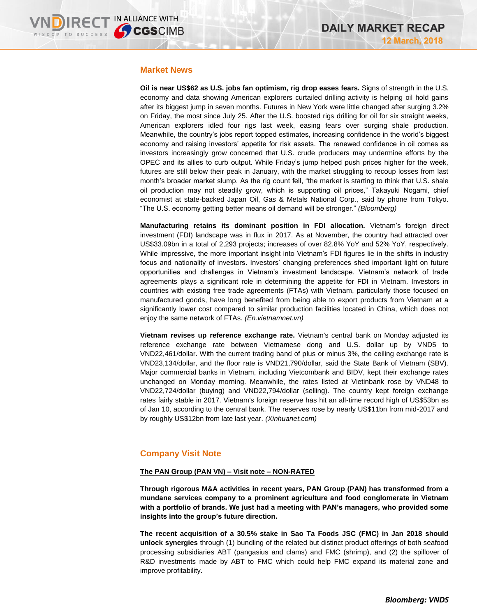## **Market News**

**Oil is near US\$62 as U.S. jobs fan optimism, rig drop eases fears.** Signs of strength in the U.S. economy and data showing American explorers curtailed drilling activity is helping oil hold gains after its biggest jump in seven months. Futures in New York were little changed after surging 3.2% on Friday, the most since July 25. After the U.S. boosted rigs drilling for oil for six straight weeks, American explorers idled four rigs last week, easing fears over surging shale production. Meanwhile, the country's jobs report topped estimates, increasing confidence in the world's biggest economy and raising investors' appetite for risk assets. The renewed confidence in oil comes as investors increasingly grow concerned that U.S. crude producers may undermine efforts by the OPEC and its allies to curb output. While Friday's jump helped push prices higher for the week, futures are still below their peak in January, with the market struggling to recoup losses from last month's broader market slump. As the rig count fell, "the market is starting to think that U.S. shale oil production may not steadily grow, which is supporting oil prices," Takayuki Nogami, chief economist at state-backed Japan Oil, Gas & Metals National Corp., said by phone from Tokyo. "The U.S. economy getting better means oil demand will be stronger." *(Bloomberg)*

**Manufacturing retains its dominant position in FDI allocation.** Vietnam's foreign direct investment (FDI) landscape was in flux in 2017. As at November, the country had attracted over US\$33.09bn in a total of 2,293 projects; increases of over 82.8% YoY and 52% YoY, respectively. While impressive, the more important insight into Vietnam's FDI figures lie in the shifts in industry focus and nationality of investors. Investors' changing preferences shed important light on future opportunities and challenges in Vietnam's investment landscape. Vietnam's network of trade agreements plays a significant role in determining the appetite for FDI in Vietnam. Investors in countries with existing free trade agreements (FTAs) with Vietnam, particularly those focused on manufactured goods, have long benefited from being able to export products from Vietnam at a significantly lower cost compared to similar production facilities located in China, which does not enjoy the same network of FTAs. *(En.vietnamnet.vn)*

**Vietnam revises up reference exchange rate.** Vietnam's central bank on Monday adjusted its reference exchange rate between Vietnamese dong and U.S. dollar up by VND5 to VND22,461/dollar. With the current trading band of plus or minus 3%, the ceiling exchange rate is VND23,134/dollar, and the floor rate is VND21,790/dollar, said the State Bank of Vietnam (SBV). Major commercial banks in Vietnam, including Vietcombank and BIDV, kept their exchange rates unchanged on Monday morning. Meanwhile, the rates listed at Vietinbank rose by VND48 to VND22,724/dollar (buying) and VND22,794/dollar (selling). The country kept foreign exchange rates fairly stable in 2017. Vietnam's foreign reserve has hit an all-time record high of US\$53bn as of Jan 10, according to the central bank. The reserves rose by nearly US\$11bn from mid-2017 and by roughly US\$12bn from late last year. *(Xinhuanet.com)*

# **Company Visit Note**

## **The PAN Group (PAN VN) – Visit note – NON-RATED**

**Through rigorous M&A activities in recent years, PAN Group (PAN) has transformed from a mundane services company to a prominent agriculture and food conglomerate in Vietnam with a portfolio of brands. We just had a meeting with PAN's managers, who provided some insights into the group's future direction.**

**The recent acquisition of a 30.5% stake in Sao Ta Foods JSC (FMC) in Jan 2018 should unlock synergies** through (1) bundling of the related but distinct product offerings of both seafood processing subsidiaries ABT (pangasius and clams) and FMC (shrimp), and (2) the spillover of R&D investments made by ABT to FMC which could help FMC expand its material zone and improve profitability.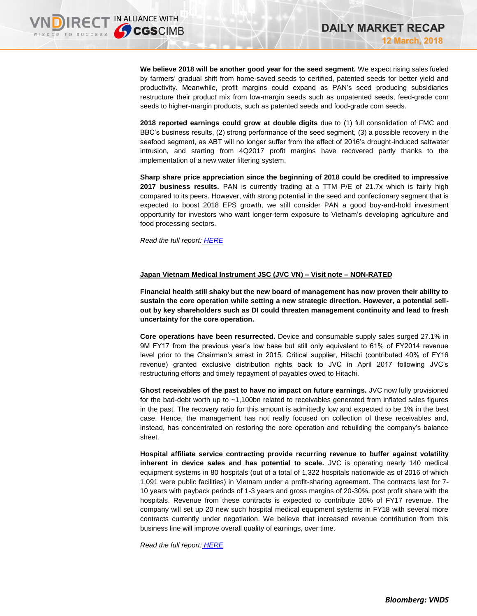**We believe 2018 will be another good year for the seed segment.** We expect rising sales fueled by farmers' gradual shift from home-saved seeds to certified, patented seeds for better yield and productivity. Meanwhile, profit margins could expand as PAN's seed producing subsidiaries restructure their product mix from low-margin seeds such as unpatented seeds, feed-grade corn seeds to higher-margin products, such as patented seeds and food-grade corn seeds.

**2018 reported earnings could grow at double digits** due to (1) full consolidation of FMC and BBC's business results, (2) strong performance of the seed segment, (3) a possible recovery in the seafood segment, as ABT will no longer suffer from the effect of 2016's drought-induced saltwater intrusion, and starting from 4Q2017 profit margins have recovered partly thanks to the implementation of a new water filtering system.

**Sharp share price appreciation since the beginning of 2018 could be credited to impressive 2017 business results.** PAN is currently trading at a TTM P/E of 21.7x which is fairly high compared to its peers. However, with strong potential in the seed and confectionary segment that is expected to boost 2018 EPS growth, we still consider PAN a good buy-and-hold investment opportunity for investors who want longer-term exposure to Vietnam's developing agriculture and food processing sectors.

*Read the full report: [HERE](https://static-02.vndirect.com.vn/uploads/prod/PAN_Visitnote_20170312.pdf)*

## **Japan Vietnam Medical Instrument JSC (JVC VN) – Visit note – NON-RATED**

**Financial health still shaky but the new board of management has now proven their ability to sustain the core operation while setting a new strategic direction. However, a potential sellout by key shareholders such as DI could threaten management continuity and lead to fresh uncertainty for the core operation.** 

**Core operations have been resurrected.** Device and consumable supply sales surged 27.1% in 9M FY17 from the previous year's low base but still only equivalent to 61% of FY2014 revenue level prior to the Chairman's arrest in 2015. Critical supplier, Hitachi (contributed 40% of FY16 revenue) granted exclusive distribution rights back to JVC in April 2017 following JVC's restructuring efforts and timely repayment of payables owed to Hitachi.

**Ghost receivables of the past to have no impact on future earnings.** JVC now fully provisioned for the bad-debt worth up to ~1,100bn related to receivables generated from inflated sales figures in the past. The recovery ratio for this amount is admittedly low and expected to be 1% in the best case. Hence, the management has not really focused on collection of these receivables and, instead, has concentrated on restoring the core operation and rebuilding the company's balance sheet.

**Hospital affiliate service contracting provide recurring revenue to buffer against volatility inherent in device sales and has potential to scale.** JVC is operating nearly 140 medical equipment systems in 80 hospitals (out of a total of 1,322 hospitals nationwide as of 2016 of which 1,091 were public facilities) in Vietnam under a profit-sharing agreement. The contracts last for 7- 10 years with payback periods of 1-3 years and gross margins of 20-30%, post profit share with the hospitals. Revenue from these contracts is expected to contribute 20% of FY17 revenue. The company will set up 20 new such hospital medical equipment systems in FY18 with several more contracts currently under negotiation. We believe that increased revenue contribution from this business line will improve overall quality of earnings, over time.

*Read the full report: [HERE](https://static-02.vndirect.com.vn/uploads/prod/JVC_Visitnote_20180312.pdf)*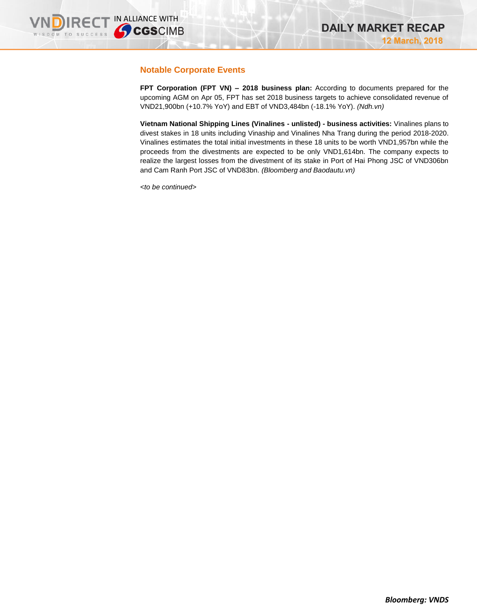# **Notable Corporate Events**

**FPT Corporation (FPT VN) – 2018 business plan:** According to documents prepared for the upcoming AGM on Apr 05, FPT has set 2018 business targets to achieve consolidated revenue of VND21,900bn (+10.7% YoY) and EBT of VND3,484bn (-18.1% YoY). *(Ndh.vn)*

**Vietnam National Shipping Lines (Vinalines - unlisted) - business activities:** Vinalines plans to divest stakes in 18 units including Vinaship and Vinalines Nha Trang during the period 2018-2020. Vinalines estimates the total initial investments in these 18 units to be worth VND1,957bn while the proceeds from the divestments are expected to be only VND1,614bn. The company expects to realize the largest losses from the divestment of its stake in Port of Hai Phong JSC of VND306bn and Cam Ranh Port JSC of VND83bn. *(Bloomberg and Baodautu.vn)*

*<to be continued>*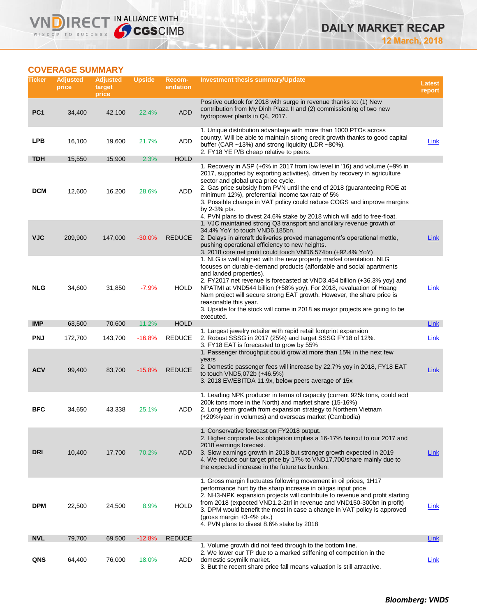# **COVERAGE SUMMARY**

**VNDIRECT IN ALLIANCE WITH** 

| Ticker          | <b>Adjusted</b><br>price | <b>Adjusted</b><br>target<br>price | <b>Upside</b> | Recom-<br>endation | <b>Investment thesis summary/Update</b>                                                                                                                                                                                                                                                                                                                                                                                                                                                                                   | <b>Latest</b><br>report |
|-----------------|--------------------------|------------------------------------|---------------|--------------------|---------------------------------------------------------------------------------------------------------------------------------------------------------------------------------------------------------------------------------------------------------------------------------------------------------------------------------------------------------------------------------------------------------------------------------------------------------------------------------------------------------------------------|-------------------------|
| PC <sub>1</sub> | 34,400                   | 42,100                             | 22.4%         | <b>ADD</b>         | Positive outlook for 2018 with surge in revenue thanks to: (1) New<br>contribution from My Dinh Plaza II and (2) commissioning of two new<br>hydropower plants in Q4, 2017.                                                                                                                                                                                                                                                                                                                                               |                         |
| <b>LPB</b>      | 16,100                   | 19,600                             | 21.7%         | ADD                | 1. Unique distribution advantage with more than 1000 PTOs across<br>country. Will be able to maintain strong credit growth thanks to good capital<br>buffer (CAR ~13%) and strong liquidity (LDR ~80%).<br>2. FY18 YE P/B cheap relative to peers.                                                                                                                                                                                                                                                                        | Link                    |
| <b>TDH</b>      | 15,550                   | 15,900                             | 2.3%          | <b>HOLD</b>        |                                                                                                                                                                                                                                                                                                                                                                                                                                                                                                                           |                         |
| <b>DCM</b>      | 12,600                   | 16,200                             | 28.6%         | ADD                | 1. Recovery in ASP (+6% in 2017 from low level in '16) and volume (+9% in<br>2017, supported by exporting activities), driven by recovery in agriculture<br>sector and global urea price cycle.<br>2. Gas price subsidy from PVN until the end of 2018 (guaranteeing ROE at<br>minimum 12%), preferential income tax rate of 5%<br>3. Possible change in VAT policy could reduce COGS and improve margins<br>by 2-3% pts.<br>4. PVN plans to divest 24.6% stake by 2018 which will add to free-float.                     |                         |
| <b>VJC</b>      | 209,900                  | 147,000                            | $-30.0%$      | <b>REDUCE</b>      | 1. VJC maintained strong Q3 transport and ancillary revenue growth of<br>34.4% YoY to touch VND6,185bn.<br>2. Delays in aircraft deliveries proved management's operational mettle,<br>pushing operational efficiency to new heights.<br>3. 2018 core net profit could touch VND6,574bn (+92.4% YoY)                                                                                                                                                                                                                      | Link                    |
| <b>NLG</b>      | 34,600                   | 31,850                             | $-7.9%$       | <b>HOLD</b>        | 1. NLG is well aligned with the new property market orientation. NLG<br>focuses on durable-demand products (affordable and social apartments<br>and landed properties).<br>2. FY2017 net revenue is forecasted at VND3,454 billion (+36.3% yoy) and<br>NPATMI at VND544 billion (+58% yoy). For 2018, revaluation of Hoang<br>Nam project will secure strong EAT growth. However, the share price is<br>reasonable this year.<br>3. Upside for the stock will come in 2018 as major projects are going to be<br>executed. | Link                    |
| <b>IMP</b>      | 63,500                   | 70,600                             | 11.2%         | <b>HOLD</b>        | 1. Largest jewelry retailer with rapid retail footprint expansion                                                                                                                                                                                                                                                                                                                                                                                                                                                         | Link                    |
| <b>PNJ</b>      | 172,700                  | 143,700                            | $-16.8%$      | <b>REDUCE</b>      | 2. Robust SSSG in 2017 (25%) and target SSSG FY18 of 12%.<br>3. FY18 EAT is forecasted to grow by 55%                                                                                                                                                                                                                                                                                                                                                                                                                     | Link                    |
| <b>ACV</b>      | 99,400                   | 83,700                             | $-15.8%$      | <b>REDUCE</b>      | 1. Passenger throughput could grow at more than 15% in the next few<br>years<br>2. Domestic passenger fees will increase by 22.7% yoy in 2018, FY18 EAT<br>to touch VND5,072b (+46.5%)<br>3. 2018 EV/EBITDA 11.9x, below peers average of 15x                                                                                                                                                                                                                                                                             | <b>Link</b>             |
| <b>BFC</b>      | 34,650                   | 43,338                             | 25.1%         | ADD                | 1. Leading NPK producer in terms of capacity (current 925k tons, could add<br>200k tons more in the North) and market share (15-16%)<br>2. Long-term growth from expansion strategy to Northern Vietnam<br>(+20%/year in volumes) and overseas market (Cambodia)                                                                                                                                                                                                                                                          |                         |
| <b>DRI</b>      | 10,400                   | 17,700                             | 70.2%         | ADD                | 1. Conservative forecast on FY2018 output.<br>2. Higher corporate tax obligation implies a 16-17% haircut to our 2017 and<br>2018 earnings forecast.<br>3. Slow earnings growth in 2018 but stronger growth expected in 2019<br>4. We reduce our target price by 17% to VND17,700/share mainly due to<br>the expected increase in the future tax burden.                                                                                                                                                                  | Link                    |
| <b>DPM</b>      | 22,500                   | 24,500                             | 8.9%          | <b>HOLD</b>        | 1. Gross margin fluctuates following movement in oil prices, 1H17<br>performance hurt by the sharp increase in oil/gas input price<br>2. NH3-NPK expansion projects will contribute to revenue and profit starting<br>from 2018 (expected VND1.2-2trl in revenue and VND150-300bn in profit)<br>3. DPM would benefit the most in case a change in VAT policy is approved<br>(gross margin $+3-4\%$ pts.)<br>4. PVN plans to divest 8.6% stake by 2018                                                                     | Link                    |
| <b>NVL</b>      | 79,700                   | 69,500                             | $-12.8%$      | <b>REDUCE</b>      |                                                                                                                                                                                                                                                                                                                                                                                                                                                                                                                           | Link                    |
| QNS             | 64,400                   | 76,000                             | 18.0%         | ADD                | 1. Volume growth did not feed through to the bottom line.<br>2. We lower our TP due to a marked stiffening of competition in the<br>domestic soymilk market.<br>3. But the recent share price fall means valuation is still attractive.                                                                                                                                                                                                                                                                                   | Link                    |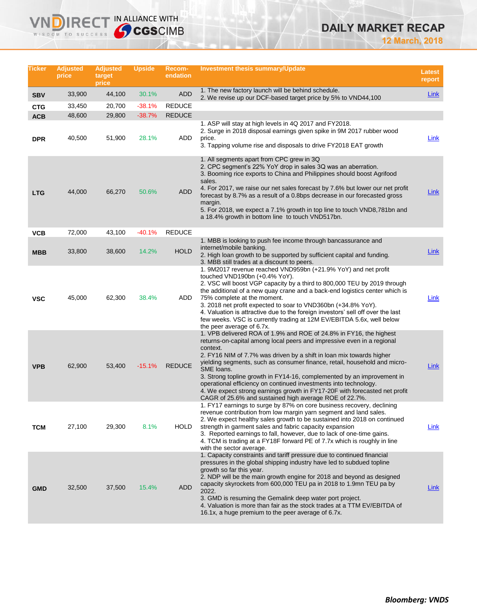# **DAILY MARKET RECAP**

**12 March, 2018**

| Ticker     | <b>Adjusted</b><br>price | <b>Adjusted</b><br>target<br>price | <b>Upside</b> | <b>Recom-</b><br>endation | Investment thesis summary/Update                                                                                                                                                                                                                                                                                                                                                                                                                                                                                                                                                                                  | <b>Latest</b><br>report |
|------------|--------------------------|------------------------------------|---------------|---------------------------|-------------------------------------------------------------------------------------------------------------------------------------------------------------------------------------------------------------------------------------------------------------------------------------------------------------------------------------------------------------------------------------------------------------------------------------------------------------------------------------------------------------------------------------------------------------------------------------------------------------------|-------------------------|
| <b>SBV</b> | 33,900                   | 44,100                             | 30.1%         | <b>ADD</b>                | 1. The new factory launch will be behind schedule.<br>2. We revise up our DCF-based target price by 5% to VND44,100                                                                                                                                                                                                                                                                                                                                                                                                                                                                                               | Link                    |
| <b>CTG</b> | 33,450                   | 20,700                             | $-38.1%$      | <b>REDUCE</b>             |                                                                                                                                                                                                                                                                                                                                                                                                                                                                                                                                                                                                                   |                         |
| <b>ACB</b> | 48,600                   | 29,800                             | $-38.7%$      | <b>REDUCE</b>             |                                                                                                                                                                                                                                                                                                                                                                                                                                                                                                                                                                                                                   |                         |
| <b>DPR</b> | 40,500                   | 51,900                             | 28.1%         | ADD                       | 1. ASP will stay at high levels in 4Q 2017 and FY2018.<br>2. Surge in 2018 disposal earnings given spike in 9M 2017 rubber wood<br>price.<br>3. Tapping volume rise and disposals to drive FY2018 EAT growth                                                                                                                                                                                                                                                                                                                                                                                                      | <u>Link</u>             |
| <b>LTG</b> | 44,000                   | 66,270                             | 50.6%         | ADD                       | 1. All segments apart from CPC grew in 3Q.<br>2. CPC segment's 22% YoY drop in sales 3Q was an aberration.<br>3. Booming rice exports to China and Philippines should boost Agrifood<br>sales.<br>4. For 2017, we raise our net sales forecast by 7.6% but lower our net profit<br>forecast by 8.7% as a result of a 0.8bps decrease in our forecasted gross<br>margin.<br>5. For 2018, we expect a 7.1% growth in top line to touch VND8,781bn and<br>a 18.4% growth in bottom line to touch VND517bn.                                                                                                           | <b>Link</b>             |
| <b>VCB</b> | 72,000                   | 43,100                             | $-40.1%$      | <b>REDUCE</b>             |                                                                                                                                                                                                                                                                                                                                                                                                                                                                                                                                                                                                                   |                         |
| <b>MBB</b> | 33,800                   | 38,600                             | 14.2%         | <b>HOLD</b>               | 1. MBB is looking to push fee income through bancassurance and<br>internet/mobile banking.<br>2. High loan growth to be supported by sufficient capital and funding.<br>3. MBB still trades at a discount to peers.                                                                                                                                                                                                                                                                                                                                                                                               | Link                    |
| <b>VSC</b> | 45,000                   | 62,300                             | 38.4%         | ADD                       | 1. 9M2017 revenue reached VND959bn (+21.9% YoY) and net profit<br>touched VND190bn (+0.4% YoY).<br>2. VSC will boost VGP capacity by a third to 800,000 TEU by 2019 through<br>the additional of a new quay crane and a back-end logistics center which is<br>75% complete at the moment.<br>3. 2018 net profit expected to soar to VND360bn (+34.8% YoY).<br>4. Valuation is attractive due to the foreign investors' sell off over the last<br>few weeks. VSC is currently trading at 12M EV/EBITDA 5.6x, well below<br>the peer average of 6.7x.                                                               | Link                    |
| <b>VPB</b> | 62,900                   | 53,400                             | $-15.1%$      | <b>REDUCE</b>             | 1. VPB delivered ROA of 1.9% and ROE of 24.8% in FY16, the highest<br>returns-on-capital among local peers and impressive even in a regional<br>context.<br>2. FY16 NIM of 7.7% was driven by a shift in loan mix towards higher<br>yielding segments, such as consumer finance, retail, household and micro-<br>SME loans.<br>3. Strong topline growth in FY14-16, complemented by an improvement in<br>operational efficiency on continued investments into technology.<br>4. We expect strong earnings growth in FY17-20F with forecasted net profit<br>CAGR of 25.6% and sustained high average ROE of 22.7%. | <b>Link</b>             |
| <b>TCM</b> | 27,100                   | 29,300                             | 8.1%          | HOLD                      | 1. FY17 earnings to surge by 87% on core business recovery, declining<br>revenue contribution from low margin yarn segment and land sales.<br>2. We expect healthy sales growth to be sustained into 2018 on continued<br>strength in garment sales and fabric capacity expansion<br>3. Reported earnings to fall, however, due to lack of one-time gains.<br>4. TCM is trading at a FY18F forward PE of 7.7x which is roughly in line<br>with the sector average.                                                                                                                                                | Link                    |
| <b>GMD</b> | 32,500                   | 37,500                             | 15.4%         | <b>ADD</b>                | 1. Capacity constraints and tariff pressure due to continued financial<br>pressures in the global shipping industry have led to subdued topline<br>growth so far this year.<br>2. NDP will be the main growth engine for 2018 and beyond as designed<br>capacity skyrockets from 600,000 TEU pa in 2018 to 1.9mn TEU pa by<br>2022.<br>3. GMD is resuming the Gemalink deep water port project.<br>4. Valuation is more than fair as the stock trades at a TTM EV/EBITDA of<br>16.1x, a huge premium to the peer average of 6.7x.                                                                                 | <b>Link</b>             |

**VNDIRECT IN ALLIANCE WITH**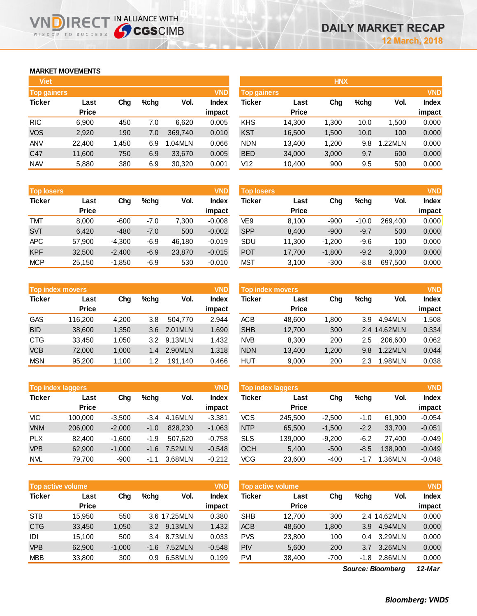# **MARKET MOVEMENTS**

WISDOM TO SUCCESS

D

|              |                    |      |         | <b>VND</b>   |
|--------------|--------------------|------|---------|--------------|
| Last         | Cha                | %chq | Vol.    | <b>Index</b> |
| <b>Price</b> |                    |      |         | impact       |
| 6,900        | 450                | 7.0  | 6,620   | 0.005        |
| 2,920        | 190                | 7.0  | 369,740 | 0.010        |
| 22,400       | 1,450              | 6.9  | 1.04MLN | 0.066        |
| 11,600       | 750                | 6.9  | 33,670  | 0.005        |
| 5,880        | 380                | 6.9  | 30,320  | 0.001        |
|              | <b>Top gainers</b> |      |         |              |

IRECT IN ALLIANCE WITH

| <b>Top losers</b> |        |          |        |        | <b>VND</b>   |
|-------------------|--------|----------|--------|--------|--------------|
| <b>Ticker</b>     | Last   | Cha      | %chq   | Vol.   | <b>Index</b> |
|                   | Price  |          |        |        | impact       |
| <b>TMT</b>        | 8,000  | $-600$   | $-7.0$ | 7,300  | $-0.008$     |
| <b>SVT</b>        | 6,420  | $-480$   | $-7.0$ | 500    | $-0.002$     |
| <b>APC</b>        | 57,900 | $-4.300$ | $-6.9$ | 46,180 | $-0.019$     |
| <b>KPF</b>        | 32,500 | $-2,400$ | $-6.9$ | 23,870 | $-0.015$     |
| <b>MCP</b>        | 25,150 | $-1,850$ | $-6.9$ | 530    | $-0.010$     |

|               | <b>Top index movers</b> |       |      |         |              |  |  |  |  |  |
|---------------|-------------------------|-------|------|---------|--------------|--|--|--|--|--|
| <b>Ticker</b> | Last                    | Cha   | %chq | Vol.    | <b>Index</b> |  |  |  |  |  |
|               | <b>Price</b>            |       |      |         | impact       |  |  |  |  |  |
| <b>GAS</b>    | 116,200                 | 4,200 | 3.8  | 504.770 | 2.944        |  |  |  |  |  |
| <b>BID</b>    | 38,600                  | 1,350 | 3.6  | 2.01MLN | 1.690        |  |  |  |  |  |
| <b>CTG</b>    | 33,450                  | 1,050 | 3.2  | 9.13MLN | 1.432        |  |  |  |  |  |
| <b>VCB</b>    | 72,000                  | 1,000 | 1.4  | 2.90MLN | 1.318        |  |  |  |  |  |
| <b>MSN</b>    | 95,200                  | 1,100 | 1.2  | 191,140 | 0.466        |  |  |  |  |  |

| <b>VND</b><br><b>Top index laggers</b> |              |          |        |         |              |  |  |  |  |
|----------------------------------------|--------------|----------|--------|---------|--------------|--|--|--|--|
| <b>Ticker</b>                          | Last         | Cha      | %chq   | Vol.    | <b>Index</b> |  |  |  |  |
|                                        | <b>Price</b> |          |        |         | impact       |  |  |  |  |
| VIC                                    | 100,000      | $-3,500$ | $-3.4$ | 4.16MLN | $-3.381$     |  |  |  |  |
| <b>VNM</b>                             | 206,000      | $-2,000$ | $-1.0$ | 828,230 | $-1.063$     |  |  |  |  |
| <b>PLX</b>                             | 82,400       | $-1,600$ | $-1.9$ | 507,620 | $-0.758$     |  |  |  |  |
| <b>VPB</b>                             | 62,900       | $-1,000$ | $-1.6$ | 7.52MLN | $-0.548$     |  |  |  |  |
| <b>NVL</b>                             | 79,700       | $-900$   | $-1.1$ | 3.68MLN | $-0.212$     |  |  |  |  |

|               | <b>Top active volume</b> |          |        |              | <b>VND</b>   |
|---------------|--------------------------|----------|--------|--------------|--------------|
| <b>Ticker</b> | Last                     | Cha      | %chq   | Vol.         | <b>Index</b> |
|               | <b>Price</b>             |          |        |              | impact       |
| <b>STB</b>    | 15,950                   | 550      |        | 3.6 17.25MLN | 0.380        |
| <b>CTG</b>    | 33,450                   | 1,050    | 3.2    | 9.13MLN      | 1.432        |
| IDI           | 15,100                   | 500      | 3.4    | 8.73MLN      | 0.033        |
| <b>VPB</b>    | 62,900                   | $-1,000$ | $-1.6$ | 7.52MLN      | $-0.548$     |
| <b>MBB</b>    | 33,800                   | 300      | 0.9    | 6.58MLN      | 0.199        |

| <b>Viet</b>        |              |       |         |         |              |                    |              | <b>HNX</b> |         |        |            |
|--------------------|--------------|-------|---------|---------|--------------|--------------------|--------------|------------|---------|--------|------------|
| <b>Top gainers</b> |              |       |         |         | <b>VND</b>   | <b>Top gainers</b> |              |            |         |        | <b>VND</b> |
| Ticker             | Last         | Chg   | $%$ chg | Vol.    | <b>Index</b> | Ticker             | Last         | Chg        | $%$ chg | Vol.   | Index      |
|                    | <b>Price</b> |       |         |         | impact       |                    | <b>Price</b> |            |         |        | impact     |
| <b>RIC</b>         | 6,900        | 450   | 7.0     | 6,620   | 0.005        | <b>KHS</b>         | 14,300       | 1.300      | 10.0    | 1,500  | 0.000      |
| <b>VOS</b>         | 2,920        | 190   | 7.0     | 369.740 | 0.010        | <b>KST</b>         | 16,500       | 1,500      | 10.0    | 100    | 0.000      |
| ANV                | 22,400       | 1,450 | 6.9     | 1.04MLN | 0.066        | <b>NDN</b>         | 13,400       | 1,200      | 9.8     | .22MLN | 0.000      |
| C47                | 11,600       | 750   | 6.9     | 33.670  | 0.005        | <b>BED</b>         | 34,000       | 3,000      | 9.7     | 600    | 0.000      |
| NAV                | 5,880        | 380   | 6.9     | 30,320  | 0.001        | V12                | 10,400       | 900        | 9.5     | 500    | 0.000      |
|                    |              |       |         |         |              |                    |              |            |         |        |            |

| <b>Top losers</b> |              |          |         |        | <b>VND</b> | <b>Top losers</b> |              |          |         |         | <b>VND</b> |
|-------------------|--------------|----------|---------|--------|------------|-------------------|--------------|----------|---------|---------|------------|
| Ticker            | Last         | Chg      | $%$ chg | Vol.   | Index      | Ticker            | Last         | Chg      | %chq    | Vol.    | Index      |
|                   | <b>Price</b> |          |         |        | impact     |                   | <b>Price</b> |          |         |         | impact     |
| тмт               | 8,000        | $-600$   | $-7.0$  | ,300   | $-0.008$   | VE9               | 8,100        | $-900$   | $-10.0$ | 269.400 | 0.000      |
| SVT               | 6,420        | $-480$   | $-7.0$  | 500    | $-0.002$   | <b>SPP</b>        | 8,400        | $-900$   | $-9.7$  | 500     | 0.000      |
| APC               | 57.900       | $-4,300$ | $-6.9$  | 46.180 | $-0.019$   | SDU               | 11,300       | $-1.200$ | $-9.6$  | 100     | 0.000      |
| KPF               | 32,500       | $-2,400$ | $-6.9$  | 23,870 | $-0.015$   | <b>POT</b>        | 17,700       | $-1,800$ | $-9.2$  | 3,000   | 0.000      |
| MCP               | 25,150       | $-1,850$ | $-6.9$  | 530    | $-0.010$   | <b>MST</b>        | 3,100        | $-300$   | -8.8    | 697,500 | 0.000      |
|                   |              |          |         |        |            |                   |              |          |         |         |            |

| <b>VND</b><br><b>Top index movers</b> |                      |       |         |         |                 | <b>Top index movers,</b> |                      |       |      |              | <b>VND</b>             |
|---------------------------------------|----------------------|-------|---------|---------|-----------------|--------------------------|----------------------|-------|------|--------------|------------------------|
| Ticker                                | Last<br><b>Price</b> | Chg   | $%$ chg | Vol.    | Index<br>impact | Ticker                   | Last<br><b>Price</b> | Chg   | %chq | Vol.         | <b>Index</b><br>impact |
| GAS                                   | 116,200              | 4.200 | 3.8     | 504.770 | 2.944           | ACB                      | 48,600               | 1.800 | 3.9  | 4.94MLN      | 1.508                  |
| <b>BID</b>                            | 38,600               | 1,350 | 3.6     | 2.01MLN | 1.690           | <b>SHB</b>               | 12,700               | 300   |      | 2.4 14.62MLN | 0.334                  |
| CTG                                   | 33.450               | 1,050 | 3.2     | 9.13MLN | 1.432           | <b>NVB</b>               | 8,300                | 200   | 2.5  | 206,600      | 0.062                  |
| <b>VCB</b>                            | 72,000               | 1,000 | 1.4     | 2.90MLN | 1.318           | <b>NDN</b>               | 13,400               | 1,200 | 9.8  | 1.22MLN      | 0.044                  |
| MSN                                   | 95.200               | 1,100 | 1.2     | 191.140 | 0.466           | HUT                      | 9,000                | 200   | 2.3  | .98MLN       | 0.038                  |

|            | <b>VND</b><br><b>Top index laggers</b> |          |        |         |                        |            | Top index laggers    |          |         |               | <b>VND</b>             |
|------------|----------------------------------------|----------|--------|---------|------------------------|------------|----------------------|----------|---------|---------------|------------------------|
| Ticker     | Last<br><b>Price</b>                   | Chg      | %chq   | Vol.    | <b>Index</b><br>impact | Ticker     | Last<br><b>Price</b> | Chg      | $%$ chg | Vol.          | <b>Index</b><br>impact |
| VIC        | 100.000                                | $-3,500$ | $-3.4$ | 4.16MLN | $-3.381$               | vcs        | 245,500              | $-2,500$ | -1.0    | 61.900        | $-0.054$               |
| <b>VNM</b> | 206,000                                | $-2,000$ | $-1.0$ | 828,230 | $-1.063$               | <b>NTP</b> | 65,500               | $-1.500$ | $-2.2$  | 33.700        | $-0.051$               |
| <b>PLX</b> | 82.400                                 | $-1,600$ | $-1.9$ | 507.620 | $-0.758$               | <b>SLS</b> | 139.000              | $-9.200$ | $-6.2$  | 27.400        | $-0.049$               |
| VPB        | 62,900                                 | $-1,000$ | $-1.6$ | 7.52MLN | $-0.548$               | <b>OCH</b> | 5,400                | $-500$   | $-8.5$  | 138,900       | $-0.049$               |
| NVL        | 79.700                                 | $-900$   | $-1.1$ | 3.68MLN | $-0.212$               | VCG        | 23,600               | $-400$   | -1.7    | <b>.36MLN</b> | $-0.048$               |

| Top active volume |                      |          |                  |              | <b>VND</b>             | <b>Top active volume</b> |                      |       |         |              | <b>VND</b>                                                                                                                                                                                                                                                                                                                                                                           |
|-------------------|----------------------|----------|------------------|--------------|------------------------|--------------------------|----------------------|-------|---------|--------------|--------------------------------------------------------------------------------------------------------------------------------------------------------------------------------------------------------------------------------------------------------------------------------------------------------------------------------------------------------------------------------------|
| Ticker            | Last<br><b>Price</b> | Cha      | %chq             | Vol.         | <b>Index</b><br>impact | Ticker                   | Last<br><b>Price</b> | Chg   | $%$ chg | Vol.         | <b>Index</b><br>impact                                                                                                                                                                                                                                                                                                                                                               |
| STB               | 15.950               | 550      |                  | 3.6 17.25MLN | 0.380                  | <b>SHB</b>               | 12.700               | 300   |         | 2.4 14.62MLN | 0.000                                                                                                                                                                                                                                                                                                                                                                                |
| <b>CTG</b>        | 33.450               | 1,050    | 3.2 <sub>2</sub> | 9.13MLN      | 1.432                  | <b>ACB</b>               | 48,600               | 1.800 | 3.9     | 4.94MLN      | 0.000                                                                                                                                                                                                                                                                                                                                                                                |
| IDI               | 15.100               | 500      | 3.4              | 8.73MLN      | 0.033                  | <b>PVS</b>               | 23,800               | 100   | 0.4     | 3.29MLN      | 0.000                                                                                                                                                                                                                                                                                                                                                                                |
| <b>VPB</b>        | 62,900               | $-1,000$ | $-1.6$           | 7.52MLN      | $-0.548$               | <b>PIV</b>               | 5,600                | 200   | 3.7     | 3.26MLN      | 0.000                                                                                                                                                                                                                                                                                                                                                                                |
| MBB               | 33,800               | 300      | 0.9              | 6.58MLN      | 0.199                  | PVI                      | 38,400               | -700  | -1.8    | 2.86MLN      | 0.000                                                                                                                                                                                                                                                                                                                                                                                |
|                   |                      |          |                  |              |                        |                          |                      |       |         |              | $\overline{A}$ $\overline{A}$ $\overline{A}$ $\overline{A}$ $\overline{A}$ $\overline{A}$ $\overline{A}$ $\overline{A}$ $\overline{A}$ $\overline{A}$ $\overline{A}$ $\overline{A}$ $\overline{A}$ $\overline{A}$ $\overline{A}$ $\overline{A}$ $\overline{A}$ $\overline{A}$ $\overline{A}$ $\overline{A}$ $\overline{A}$ $\overline{A}$ $\overline{A}$ $\overline{A}$ $\overline{$ |

*12-Mar Source: Bloomberg*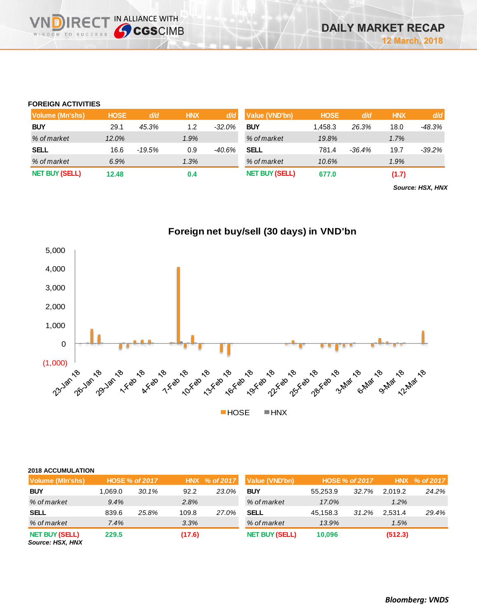# **FOREIGN ACTIVITIES**

**NDIRED** WISDOM TO SUCCESS

**THE IN ALLIANCE WITH<br>
CGSCIMB** 

| Volume (Mn'shs)       | <b>HOSE</b> | d/d      | <b>HNX</b> | d/d       | Value (VND'bn)        | <b>HOSE</b> | d/d      | <b>HNX</b> | d/d      |
|-----------------------|-------------|----------|------------|-----------|-----------------------|-------------|----------|------------|----------|
| <b>BUY</b>            | 29.1        | 45.3%    | 1.2        | $-32.0\%$ | <b>BUY</b>            | 1.458.3     | 26.3%    | 18.0       | -48.3%   |
| % of market           | 12.0%       |          | 1.9%       |           | % of market           | 19.8%       |          | 1.7%       |          |
| <b>SELL</b>           | 16.6        | $-19.5%$ | 0.9        | -40.6%    | <b>SELL</b>           | 781.4       | $-36.4%$ | 19.7       | $-39.2%$ |
| % of market           | 6.9%        |          | 1.3%       |           | % of market           | 10.6%       |          | 1.9%       |          |
| <b>NET BUY (SELL)</b> | 12.48       |          | 0.4        |           | <b>NET BUY (SELL)</b> | 677.0       |          | (1.7)      |          |

*Source: HSX, HNX*



| 2018 ACCUMULATION |  |
|-------------------|--|

| Volume (MIn'shs)      |          | HOSE % of 2017 |        |       | HNX % of 2017 Value (VND'bn) |          | <b>HOSE % of 2017</b> | <b>HNX</b> | $%$ of 2017 |
|-----------------------|----------|----------------|--------|-------|------------------------------|----------|-----------------------|------------|-------------|
| <b>BUY</b>            | 0.69.0 ا | 30.1%          | 92.2   | 23.0% | <b>BUY</b>                   | 55.253.9 | 32.7%                 | 2.019.2    | 24.2%       |
| % of market           | 9.4%     |                | 2.8%   |       | % of market                  | 17.0%    |                       | 1.2%       |             |
| <b>SELL</b>           | 839.6    | 25.8%          | 109.8  | 27.0% | <b>SELL</b>                  | 45.158.3 | 31.2%                 | 2.531.4    | 29.4%       |
| % of market           | 7.4%     |                | 3.3%   |       | % of market                  | 13.9%    |                       | 1.5%       |             |
| <b>NET BUY (SELL)</b> | 229.5    |                | (17.6) |       | <b>NET BUY (SELL)</b>        | 10,096   |                       | (512.3)    |             |

*Source: HSX, HNX*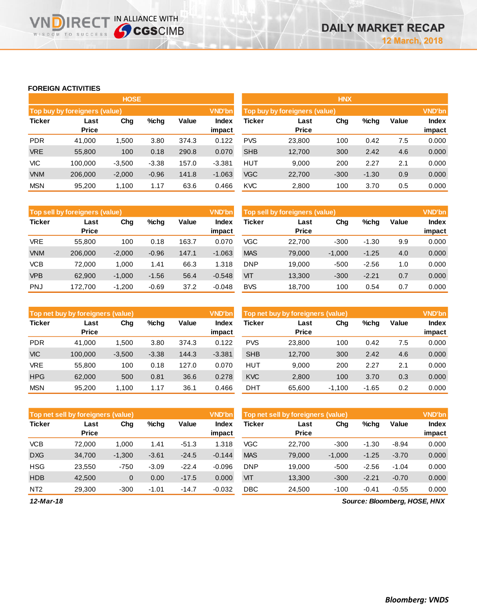## **FOREIGN ACTIVITIES**

**VNDIRECT IN ALLIANCE WITH** 

|               |                                      | <b>HOSE</b> |         |       |               |               |                               | <b>HNX</b> |         |       |               |
|---------------|--------------------------------------|-------------|---------|-------|---------------|---------------|-------------------------------|------------|---------|-------|---------------|
|               | <b>Top buy by foreigners (value)</b> |             |         |       | <b>VND'bn</b> |               | Top buy by foreigners (value) |            |         |       | <b>VND'bn</b> |
| <b>Ticker</b> | Last                                 | Chg         | $%$ chg | Value | Index         | <b>Ticker</b> | Last                          | Chg        | %chg    | Value | <b>Index</b>  |
|               | <b>Price</b>                         |             |         |       | impact        |               | <b>Price</b>                  |            |         |       | impact        |
| <b>PDR</b>    | 41.000                               | 1.500       | 3.80    | 374.3 | 0.122         | <b>PVS</b>    | 23,800                        | 100        | 0.42    | 7.5   | 0.000         |
| <b>VRE</b>    | 55,800                               | 100         | 0.18    | 290.8 | 0.070         | <b>SHB</b>    | 12,700                        | 300        | 2.42    | 4.6   | 0.000         |
| VIC           | 100.000                              | $-3,500$    | $-3.38$ | 157.0 | $-3.381$      | <b>HUT</b>    | 9,000                         | 200        | 2.27    | 2.1   | 0.000         |
| <b>VNM</b>    | 206.000                              | $-2,000$    | $-0.96$ | 141.8 | $-1.063$      | <b>VGC</b>    | 22,700                        | $-300$     | $-1.30$ | 0.9   | 0.000         |
| <b>MSN</b>    | 95,200                               | 1,100       | 1.17    | 63.6  | 0.466         | <b>KVC</b>    | 2,800                         | 100        | 3.70    | 0.5   | 0.000         |

|               | Top sell by foreigners (value) |          |         |       | <b>VND'bn</b>   | Top sell by foreigners (value) |                      |          |         |       |                        |
|---------------|--------------------------------|----------|---------|-------|-----------------|--------------------------------|----------------------|----------|---------|-------|------------------------|
| <b>Ticker</b> | Last<br><b>Price</b>           | Chg      | $%$ chg | Value | Index<br>impact | Ticker                         | Last<br><b>Price</b> | Chg      | %chg    | Value | <b>Index</b><br>impact |
|               |                                |          |         |       |                 |                                |                      |          |         |       |                        |
| <b>VRE</b>    | 55,800                         | 100      | 0.18    | 163.7 | 0.070           | VGC                            | 22,700               | $-300$   | $-1.30$ | 9.9   | 0.000                  |
| <b>VNM</b>    | 206.000                        | $-2,000$ | $-0.96$ | 147.1 | $-1.063$        | <b>MAS</b>                     | 79,000               | $-1,000$ | $-1.25$ | 4.0   | 0.000                  |
| <b>VCB</b>    | 72.000                         | 1,000    | 1.41    | 66.3  | 1.318           | <b>DNP</b>                     | 19.000               | $-500$   | $-2.56$ | 1.0   | 0.000                  |
| <b>VPB</b>    | 62,900                         | $-1,000$ | $-1.56$ | 56.4  | $-0.548$        | VIT                            | 13,300               | $-300$   | $-2.21$ | 0.7   | 0.000                  |
| <b>PNJ</b>    | 172.700                        | $-1,200$ | $-0.69$ | 37.2  | $-0.048$        | <b>BVS</b>                     | 18.700               | 100      | 0.54    | 0.7   | 0.000                  |

|               | <b>VND'bn</b><br>Top net buy by foreigners (value) |          |         |       |                 |            | Top net buy by foreigners (value) |          |         |       |                        |  |
|---------------|----------------------------------------------------|----------|---------|-------|-----------------|------------|-----------------------------------|----------|---------|-------|------------------------|--|
| <b>Ticker</b> | Last<br><b>Price</b>                               | Chg      | %chq    | Value | Index<br>impact | Ticker     | Last<br><b>Price</b>              | Chg      | %chg    | Value | <b>Index</b><br>impact |  |
| <b>PDR</b>    | 41.000                                             | 1.500    | 3.80    | 374.3 | 0.122           | <b>PVS</b> | 23.800                            | 100      | 0.42    | 7.5   | 0.000                  |  |
| <b>VIC</b>    | 100.000                                            | $-3,500$ | $-3.38$ | 144.3 | $-3.381$        | <b>SHB</b> | 12,700                            | 300      | 2.42    | 4.6   | 0.000                  |  |
| <b>VRE</b>    | 55.800                                             | 100      | 0.18    | 127.0 | 0.070           | <b>HUT</b> | 9.000                             | 200      | 2.27    | 2.1   | 0.000                  |  |
| <b>HPG</b>    | 62,000                                             | 500      | 0.81    | 36.6  | 0.278           | <b>KVC</b> | 2.800                             | 100      | 3.70    | 0.3   | 0.000                  |  |
| <b>MSN</b>    | 95.200                                             | 1.100    | 1.17    | 36.1  | 0.466           | <b>DHT</b> | 65.600                            | $-1.100$ | $-1.65$ | 0.2   | 0.000                  |  |

|                  | Top net sell by foreigners (value) |          |         |         | <b>VND'bn</b>   | Top net sell by foreigners (value), |                      | <b>VND'bn</b> |         |         |                        |
|------------------|------------------------------------|----------|---------|---------|-----------------|-------------------------------------|----------------------|---------------|---------|---------|------------------------|
| <b>Ticker</b>    | Last<br><b>Price</b>               | Chg      | %chq    | Value   | Index<br>impact | <b>Ticker</b>                       | Last<br><b>Price</b> | Chg           | %chg    | Value   | <b>Index</b><br>impact |
| <b>VCB</b>       | 72.000                             | 1,000    | 1.41    | -51.3   | 1.318           | VGC                                 | 22.700               | $-300$        | $-1.30$ | $-8.94$ | 0.000                  |
| <b>DXG</b>       | 34.700                             | $-1,300$ | $-3.61$ | $-24.5$ | $-0.144$        | <b>MAS</b>                          | 79,000               | $-1,000$      | $-1.25$ | $-3.70$ | 0.000                  |
| <b>HSG</b>       | 23,550                             | $-750$   | $-3.09$ | $-22.4$ | $-0.096$        | <b>DNP</b>                          | 19.000               | $-500$        | $-2.56$ | $-1.04$ | 0.000                  |
| <b>HDB</b>       | 42.500                             | 0        | 0.00    | $-17.5$ | 0.000           | VIT                                 | 13.300               | $-300$        | $-2.21$ | $-0.70$ | 0.000                  |
| N <sub>T</sub> 2 | 29,300                             | $-300$   | $-1.01$ | $-14.7$ | $-0.032$        | <b>DBC</b>                          | 24,500               | $-100$        | $-0.41$ | $-0.55$ | 0.000                  |

*12-Mar-18*

*Source: Bloomberg, HOSE, HNX*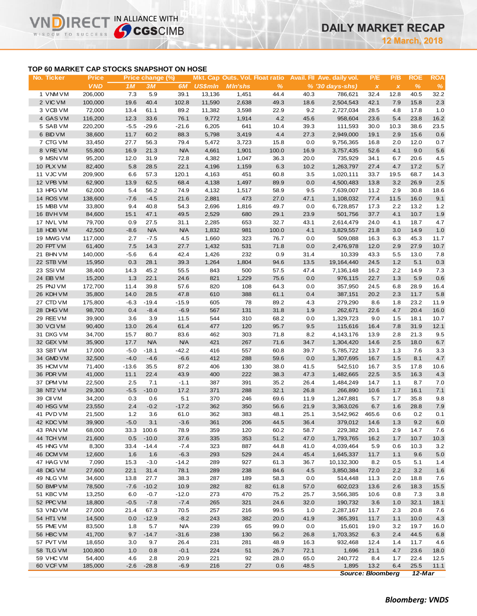# **TOP 60 MARKET CAP STOCKS SNAPSHOT ON HOSE**

**IRECT IN ALLIANCE WITH** 

n

WISDOM TO SUCCESS

| No. Ticker             | <b>Price</b>     |             | Price change (%) |                |                |                |               |              | Mkt. Cap Outs. Vol. Float ratio Avail. Fil Ave. daily vol. | P/E                       | P/B          | <b>ROE</b>   | <b>ROA</b>   |
|------------------------|------------------|-------------|------------------|----------------|----------------|----------------|---------------|--------------|------------------------------------------------------------|---------------------------|--------------|--------------|--------------|
|                        | <b>VND</b>       | 1M          | 3M               | 6M             | <b>US\$mln</b> | <b>MIn'shs</b> | $\frac{9}{6}$ |              | $% (30 \, \text{days-shs})$                                | $\boldsymbol{\mathsf{x}}$ | $\pmb{\chi}$ | $\%$         | $\%$         |
| 1 VNM VM               | 206,000          | 7.3         | 5.9              | 39.1           | 13,136         | 1,451          | 44.4          | 40.3         | 786,621                                                    | 32.4                      | 12.8         | 40.5         | 32.2         |
| 2 VIC VM               | 100,000          | 19.6        | 40.4             | 102.8          | 11,590         | 2,638          | 49.3          | 18.6         | 2,504,543                                                  | 42.1                      | 7.9          | 15.8         | 2.3          |
| 3 VCB VM               | 72,000           | 13.4        | 61.1             | 89.2           | 11,382         | 3,598          | 22.9          | 9.2          | 2,727,034                                                  | 28.5                      | 4.8          | 17.8         | 1.0          |
| 4 GAS VM               | 116,200          | 12.3        | 33.6             | 76.1           | 9,772          | 1,914          | 4.2           | 45.6         | 958,604                                                    | 23.6                      | 5.4          | 23.8         | 16.2         |
| 5 SAB VM               | 220,200          | $-5.5$      | $-29.6$          | $-21.6$        | 6,205          | 641            | 10.4          | 39.3         | 111,593                                                    | 30.0                      | 10.3         | 38.6         | 23.5         |
| 6 BID VM               | 38,600           | 11.7        | 60.2             | 88.3           | 5,798          | 3,419          | 4.4           | 27.3         | 2,949,000                                                  | 19.1                      | 2.9          | 15.6         | 0.6          |
| 7 CTG VM               | 33,450           | 27.7        | 56.3             | 79.4           | 5,472          | 3,723          | 15.8          | 0.0          | 9,756,365                                                  | 16.8                      | 2.0          | 12.0         | 0.7          |
| 8 VREVM                | 55,800           | 16.9        | 21.3             | <b>N/A</b>     | 4,661          | 1,901          | 100.0         | 16.9         | 3,757,435                                                  | 52.6                      | 4.1          | 9.0          | 5.6          |
| 9 MSN VM               | 95,200           | 12.0        | 31.9             | 72.8           | 4,382          | 1,047          | 36.3          | 20.0         | 735,929                                                    | 34.1                      | 6.7          | 20.6         | 4.5          |
| 10 PLX VM              | 82,400           | 5.8         | 28.5             | 22.1           | 4,196          | 1,159          | 6.3           | 10.2         | 1,263,797                                                  | 27.4                      | 4.7          | 17.2         | 5.7          |
| 11 VJC VM              | 209,900          | 6.6         | 57.3             | 120.1          | 4,163          | 451            | 60.8          | 3.5          | 1,020,111                                                  | 33.7                      | 19.5         | 68.7         | 14.3         |
| 12 VPB VM              | 62,900           | 13.9        | 62.5             | 68.4           | 4,138          | 1,497          | 89.9          | 0.0          | 4,500,483                                                  | 13.8                      | 3.2          | 26.9         | 2.5          |
| 13 HPG VM              | 62,000           | 5.4         | 56.2             | 74.9           | 4,132          | 1,517          | 58.9          | 9.5          | 7,639,007                                                  | 11.2                      | 2.9          | 30.8         | 18.6         |
| 14 ROS VM              | 138,600          | $-7.6$      | $-4.5$           | 21.6           | 2,881          | 473            | 27.0          | 47.1         | 1,108,032                                                  | 77.4                      | 11.5         | 16.0         | 9.1          |
| 15 MBB VM              | 33,800           | 9.4         | 40.8             | 54.3           | 2,696          | 1,816          | 49.7          | 0.0          | 6,728,857                                                  | 17.3                      | 2.2          | 13.2         | 1.2          |
| 16 BVHVM               | 84,600           | 15.1        | 47.1             | 49.5           | 2,529          | 680            | 29.1          | 23.9         | 501,756                                                    | 37.7                      | 4.1          | 10.7         | 1.9          |
| 17 NVL VM              | 79,700           | 0.9         | 27.5             | 31.1           | 2,285          | 653            | 32.7          | 43.1         | 2,614,479                                                  | 24.0                      | 4.1          | 18.7         | 4.7          |
| 18 HDB VM              | 42,500           | $-8.6$      | <b>N/A</b>       | <b>N/A</b>     | 1,832          | 981            | 100.0         | 4.1          | 3,829,557                                                  | 21.8                      | 3.0          | 14.9         | 1.0          |
| 19 MWG VM              | 117,000          | 2.7         | $-7.5$           | 4.5            | 1,660          | 323            | 76.7          | 0.0          | 509,088                                                    | 16.3                      | 6.3          | 45.3         | 11.7         |
| 20 FPT VM              | 61,400           | 7.5         | 14.3             | 27.7           | 1,432          | 531            | 71.8          | 0.0          | 2,476,978                                                  | 12.0                      | 2.9          | 27.9         | 10.7         |
| 21 BHN VM              | 140,000          | $-5.6$      | 6.4              | 42.4           | 1,426          | 232            | 0.9<br>94.6   | 31.4         | 10,339<br>19,164,440                                       | 43.3                      | 5.5<br>1.2   | 13.0         | 7.8          |
| 22 STB VM<br>23 SSIVM  | 15,950<br>38,400 | 0.3<br>14.3 | 28.1<br>45.2     | 39.3<br>55.5   | 1,264<br>843   | 1,804<br>500   | 57.5          | 13.5<br>47.4 | 7,136,148                                                  | 24.5<br>16.2              | 2.2          | 5.1<br>14.9  | 0.3<br>7.3   |
| 24 EIB VM              | 15,200           | 1.3         | 22.1             | 24.6           | 821            | 1,229          | 75.6          | 0.0          | 976,115                                                    | 22.7                      | 1.3          | 5.9          | 0.6          |
| 25 PNJ VM              | 172,700          | 11.4        | 39.8             | 57.6           | 820            | 108            | 64.3          | 0.0          | 357,950                                                    | 24.5                      | 6.8          | 28.9         | 16.4         |
| 26 KDH VM              | 35,800           | 14.0        | 28.5             | 47.8           | 610            | 388            | 61.1          | 0.4          | 387,151                                                    | 20.2                      | 2.3          | 11.7         | 5.8          |
| 27 CTD VM              | 175,800          | $-6.3$      | $-19.4$          | $-15.9$        | 605            | 78             | 89.2          | 4.3          | 279,290                                                    | 8.6                       | 1.8          | 23.2         | 11.9         |
| 28 DHG VM              | 98,700           | 0.4         | $-8.4$           | $-6.9$         | 567            | 131            | 31.8          | 1.9          | 262,671                                                    | 22.6                      | 4.7          | 20.4         | 16.0         |
| 29 REE VM              | 39,900           | 3.6         | 3.9              | 11.5           | 544            | 310            | 68.2          | 0.0          | 1,329,723                                                  | 9.0                       | 1.5          | 18.1         | 10.7         |
| 30 VCIVM               | 90,400           | 13.0        | 26.4             | 61.4           | 477            | 120            | 95.7          | 9.5          | 115,616                                                    | 16.4                      | 7.8          | 31.9         | 12.1         |
| 31 DXG VM              | 34,700           | 15.7        | 80.7             | 83.6           | 462            | 303            | 71.8          | 8.2          | 4,143,176                                                  | 13.9                      | 2.8          | 21.3         | 9.5          |
| 32 GEX VM              | 35,900           | 17.7        | <b>N/A</b>       | <b>N/A</b>     | 421            | 267            | 71.6          | 34.7         | 1,304,420                                                  | 14.6                      | 2.5          | 18.0         | 6.7          |
| 33 SBT VM              | 17,000           | $-5.0$      | $-18.1$          | $-42.2$        | 416            | 557            | 60.8          | 39.7         | 5,785,722                                                  | 13.7                      | 1.3          | 7.6          | 3.3          |
| 34 GMD VM              | 32,500           | $-4.0$      | $-4.6$           | $-6.6$         | 412            | 288            | 59.6          | 0.0          | 1,307,695                                                  | 16.7                      | 1.5          | 8.1          | 4.7          |
| 35 HCM VM              | 71,400           | $-13.6$     | 35.5             | 87.2           | 406            | 130            | 38.0          | 41.5         | 542,510                                                    | 16.7                      | 3.5          | 17.8         | 10.6         |
| 36 PDR VM              | 41,000           | 11.1        | 22.4             | 43.9           | 400            | 222            | 38.3          | 47.3         | 1,482,665                                                  | 22.5                      | 3.5          | 16.3         | 4.3          |
| 37 DPM VM              | 22,500           | 2.5         | 7.1              | $-1.1$         | 387            | 391            | 35.2          | 26.4         | 1,484,249                                                  | 14.7                      | 1.1          | 8.7          | 7.0          |
| 38 NT2 VM              | 29,300           | $-5.5$      | $-10.0$          | 17.2           | 371            | 288            | 32.1          | 26.8         | 266,890                                                    | 10.6                      | 1.7          | 16.1         | 7.1          |
| 39 CII VM              | 34,200           | 0.3         | 0.6              | 5.1            | 370            | 246            | 69.6          | 11.9         | 1,247,881                                                  | 5.7                       | 1.7          | 35.8         | 9.8          |
| 40 HSG VM              | 23,550           | 2.4         | $-0.2$           | $-17.2$        | 362            | 350            | 56.6          | 21.9         | 3,363,026                                                  | 6.7                       | 1.6          | 28.8         | 7.9          |
| 41 PVD VM              | 21,500           | 1.2         | 3.6              | 61.0           | 362            | 383            | 48.1          | 25.1         | 3,542,962                                                  | 465.6                     | 0.6          | 0.2          | 0.1          |
| 42 KDC VM              | 39,900           | $-5.0$      | 3.1              | $-3.6$         | 361            | 206            | 44.5          | 36.4         | 379,012                                                    | 14.6                      | 1.3          | 9.2          | 6.0          |
| 43 PAN VM              | 68,000           |             | 33.3 100.6       | 78.9           | 359            | 120            | 60.2          | 58.7         | 229,382                                                    | 20.1                      | 2.9          | 14.7         | 7.6          |
| 44 TCH VM              | 21,600           | 0.5         | $-10.0$          | 37.6           | 335            | 353            | 51.2          | 47.0         | 1,793,765                                                  | 16.2                      | 1.7          | 10.7         | 10.3         |
| 45 HNG VM              | 8,300            | 33.4        | $-14.4$          | $-7.4$         | 323            | 887            | 44.8          | 41.0         | 4,039,464                                                  | 5.9                       | 0.6          | 10.3         | 3.2          |
| 46 DCM VM              | 12,600           | 1.6         | 1.6              | $-6.3$         | 293            | 529            | 24.4          | 45.4         | 1,645,337                                                  | 11.7                      | 1.1          | 9.6          | 5.0          |
| 47 HAG VM              | 7,090            | 15.3        | $-3.0$           | $-14.2$        | 289            | 927            | 61.3          | 36.7         | 10,132,300                                                 | 8.2                       | 0.5          | 5.1          | 1.4          |
| 48 DIG VM              | 27,600           | 22.1        | 31.4             | 78.1           | 289            | 238            | 84.6          | 4.5          | 3,850,384                                                  | 72.0                      | 2.2          | 3.2          | 1.6          |
| 49 NLG VM              | 34,600           | 13.8        | 27.7             | 38.3           | 287            | 189            | 58.3          | 0.0          | 514,448                                                    | 11.3                      | 2.0          | 18.8         | 7.6          |
| 50 BMP VM              | 78,500           | $-7.6$      | $-10.2$          | 10.9           | 282            | 82             | 61.8          | 57.0         | 602,023                                                    | 13.6                      | 2.6          | 18.3         | 15.5         |
| 51 KBC VM              | 13,250           | 6.0         | $-0.7$           | $-12.0$        | 273            | 470            | 75.2          | 25.7         | 3,566,385                                                  | 10.6                      | 0.8          | 7.3          | 3.8          |
| 52 PPC VM              | 18,800           | $-0.5$      | $-7.8$           | $-7.4$         | 265            | 321            | 24.6          | 32.0         | 190,732                                                    | 3.6                       | 1.0          | 32.1         | 18.1         |
| 53 VND VM              | 27,000           | 21.4        | 67.3             | 70.5           | 257            | 216            | 99.5          | 1.0          | 2,287,167                                                  | 11.7                      | 2.3          | 20.8         | 7.6          |
| 54 HT1 VM              | 14,500           | 0.0         | $-12.9$          | $-8.2$         | 243            | 382            | 20.0          | 41.9         | 365,391                                                    | 11.7                      | 1.1          | 10.0         | 4.3          |
| 55 PME VM              | 83,500           | 1.8         | 5.7              | <b>N/A</b>     | 239            | 65             | 99.0          | 0.0          | 15,601                                                     | 19.0                      | 3.2          | 19.7         | 16.0         |
| 56 HBC VM<br>57 PVT VM | 41,700<br>18,650 | 9.7         | $-14.7$          | $-31.6$        | 238<br>231     | 130<br>281     | 56.2<br>48.9  | 26.8<br>16.3 | 1,703,352<br>932,468                                       | 6.3                       | 2.4          | 44.5         | 6.8          |
| 58 TLG VM              | 100,800          | 3.0<br>1.0  | 9.7<br>0.8       | 26.4<br>$-0.1$ | 224            | 51             | 26.7          | 72.1         | 1,696                                                      | 12.4<br>21.1              | 1.4<br>4.7   | 11.7<br>23.6 | 4.6          |
| 59 VHC VM              | 54,400           | 4.6         | 2.8              | 20.9           | 221            | 92             | 28.0          | 65.0         | 240,772                                                    | 8.4                       | 1.7          | 22.4         | 18.0<br>12.5 |
| 60 VCF VM              | 185,000          | $-2.6$      | $-28.8$          | $-6.9$         | 216            | 27             | 0.6           | 48.5         | 1,895                                                      | 13.2                      | 6.4          | 25.5         | 11.1         |
|                        |                  |             |                  |                |                |                |               |              | <b>Source: Bloomberg</b>                                   |                           |              | 12-Mar       |              |